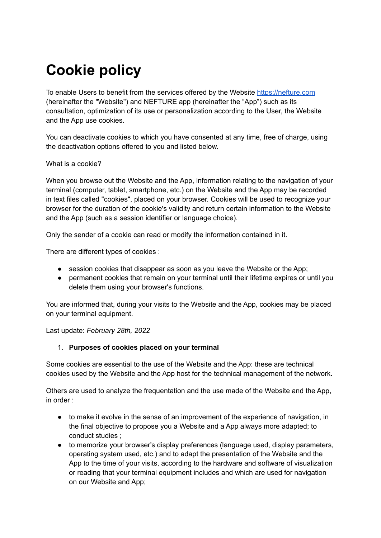# **Cookie policy**

To enable Users to benefit from the services offered by the Website [https://nefture.com](https://dogami.com) (hereinafter the "Website") and NEFTURE app (hereinafter the "App") such as its consultation, optimization of its use or personalization according to the User, the Website and the App use cookies.

You can deactivate cookies to which you have consented at any time, free of charge, using the deactivation options offered to you and listed below.

#### What is a cookie?

When you browse out the Website and the App, information relating to the navigation of your terminal (computer, tablet, smartphone, etc.) on the Website and the App may be recorded in text files called "cookies", placed on your browser. Cookies will be used to recognize your browser for the duration of the cookie's validity and return certain information to the Website and the App (such as a session identifier or language choice).

Only the sender of a cookie can read or modify the information contained in it.

There are different types of cookies :

- session cookies that disappear as soon as you leave the Website or the App;
- permanent cookies that remain on your terminal until their lifetime expires or until you delete them using your browser's functions.

You are informed that, during your visits to the Website and the App, cookies may be placed on your terminal equipment.

Last update: *February 28th, 2022*

### 1. **Purposes of cookies placed on your terminal**

Some cookies are essential to the use of the Website and the App: these are technical cookies used by the Website and the App host for the technical management of the network.

Others are used to analyze the frequentation and the use made of the Website and the App, in order :

- to make it evolve in the sense of an improvement of the experience of navigation, in the final objective to propose you a Website and a App always more adapted; to conduct studies ;
- to memorize your browser's display preferences (language used, display parameters, operating system used, etc.) and to adapt the presentation of the Website and the App to the time of your visits, according to the hardware and software of visualization or reading that your terminal equipment includes and which are used for navigation on our Website and App;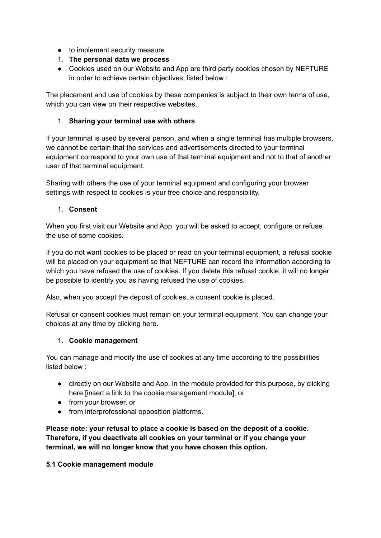- to implement security measure
- 1. **The personal data we process**
- Cookies used on our Website and App are third party cookies chosen by NEFTURE in order to achieve certain objectives, listed below :

The placement and use of cookies by these companies is subject to their own terms of use, which you can view on their respective websites.

# 1. **Sharing your terminal use with others**

If your terminal is used by several person, and when a single terminal has multiple browsers, we cannot be certain that the services and advertisements directed to your terminal equipment correspond to your own use of that terminal equipment and not to that of another user of that terminal equipment.

Sharing with others the use of your terminal equipment and configuring your browser settings with respect to cookies is your free choice and responsibility.

# 1. **Consent**

When you first visit our Website and App, you will be asked to accept, configure or refuse the use of some cookies.

If you do not want cookies to be placed or read on your terminal equipment, a refusal cookie will be placed on your equipment so that NEFTURE can record the information according to which you have refused the use of cookies. If you delete this refusal cookie, it will no longer be possible to identify you as having refused the use of cookies.

Also, when you accept the deposit of cookies, a consent cookie is placed.

Refusal or consent cookies must remain on your terminal equipment. You can change your choices at any time by clicking here.

### 1. **Cookie management**

You can manage and modify the use of cookies at any time according to the possibilities listed below :

- directly on our Website and App, in the module provided for this purpose, by clicking here [insert a link to the cookie management module], or
- from your browser, or
- from interprofessional opposition platforms.

**Please note: your refusal to place a cookie is based on the deposit of a cookie. Therefore, if you deactivate all cookies on your terminal or if you change your terminal, we will no longer know that you have chosen this option.**

### **5.1 Cookie management module**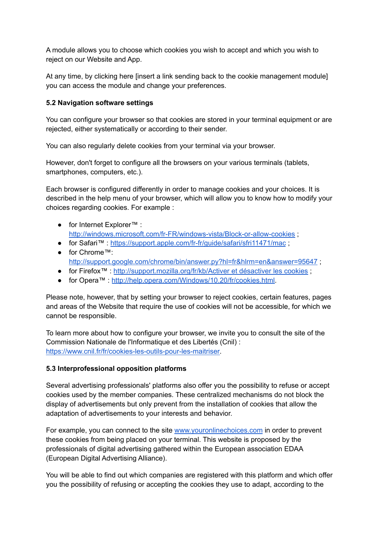A module allows you to choose which cookies you wish to accept and which you wish to reject on our Website and App.

At any time, by clicking here [insert a link sending back to the cookie management module] you can access the module and change your preferences.

#### **5.2 Navigation software settings**

You can configure your browser so that cookies are stored in your terminal equipment or are rejected, either systematically or according to their sender.

You can also regularly delete cookies from your terminal via your browser.

However, don't forget to configure all the browsers on your various terminals (tablets, smartphones, computers, etc.).

Each browser is configured differently in order to manage cookies and your choices. It is described in the help menu of your browser, which will allow you to know how to modify your choices regarding cookies. For example :

- for Internet Explorer™ [:](http://windows.microsoft.com/fr-FR/windows-vista/Block-or-allow-cookies) <http://windows.microsoft.com/fr-FR/windows-vista/Block-or-allow-cookies> ;
- for Safari™ : <https://support.apple.com/fr-fr/guide/safari/sfri11471/mac> ;
- for Chrome™[:](http://support.google.com/chrome/bin/answer.py?hl=fr&hlrm=en&answer=95647) <http://support.google.com/chrome/bin/answer.py?hl=fr&hlrm=en&answer=95647>;
- for Firefox™ : [http://support.mozilla.org/fr/kb/Activer](http://support.mozilla.org/fr/kb/Activer%20et%20d%C3%A9sactiver%20les%20cookies) et désactiver les cookies ;
- for Opera™ : [http://help.opera.com/Windows/10.20/fr/cookies.html.](http://help.opera.com/Windows/10.20/fr/cookies.html)

Please note, however, that by setting your browser to reject cookies, certain features, pages and areas of the Website that require the use of cookies will not be accessible, for which we cannot be responsible.

To learn more about how to configure your browser, we invite you to consult the site of the Commission Nationale de l'Informatique et des Libertés (Cnil) : [https://www.cnil.fr/fr/cookies-les-outils-pour-les-maitriser.](https://www.cnil.fr/fr/cookies-les-outils-pour-les-maitriser)

#### **5.3 Interprofessional opposition platforms**

Several advertising professionals' platforms also offer you the possibility to refuse or accept cookies used by the member companies. These centralized mechanisms do not block the display of advertisements but only prevent from the installation of cookies that allow the adaptation of advertisements to your interests and behavior.

For example, you can connect to the site [www.youronlinechoices.com](http://www.youronlinechoices.com/) in order to prevent these cookies from being placed on your terminal. This website is proposed by the professionals of digital advertising gathered within the European association EDAA (European Digital Advertising Alliance).

You will be able to find out which companies are registered with this platform and which offer you the possibility of refusing or accepting the cookies they use to adapt, according to the